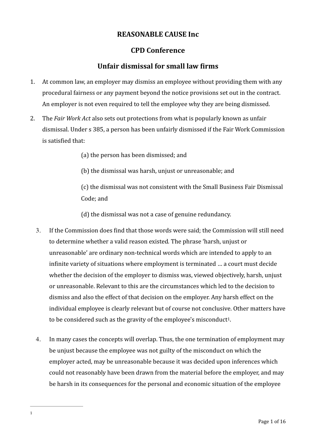# **REASONABLE CAUSE Inc.**

# **CPD Conference**

# **Unfair dismissal for small law firms**

- 1. At common law, an employer may dismiss an employee without providing them with any procedural fairness or any payment beyond the notice provisions set out in the contract. An employer is not even required to tell the employee why they are being dismissed.
- 2. The *Fair Work Act* also sets out protections from what is popularly known as unfair dismissal. Under s 385, a person has been unfairly dismissed if the Fair Work Commission is satisfied that:
	- (a) the person has been dismissed; and
	- (b) the dismissal was harsh, unjust or unreasonable; and

(c) the dismissal was not consistent with the Small Business Fair Dismissal Code: and

(d) the dismissal was not a case of genuine redundancy.

- 3. If the Commission does find that those words were said; the Commission will still need to determine whether a valid reason existed. The phrase 'harsh, unjust or unreasonable' are ordinary non-technical words which are intended to apply to an infinite variety of situations where employment is terminated ... a court must decide whether the decision of the employer to dismiss was, viewed objectively, harsh, unjust or unreasonable. Relevant to this are the circumstances which led to the decision to dismiss and also the effect of that decision on the employer. Any harsh effect on the individual employee is clearly relevant but of course not conclusive. Other matters have to be considered such as the gravity of the employee's misconduct<sup>1</sup>.
- 4. In many cases the concepts will overlap. Thus, the one termination of employment may be unjust because the employee was not guilty of the misconduct on which the employer acted, may be unreasonable because it was decided upon inferences which could not reasonably have been drawn from the material before the employer, and may be harsh in its consequences for the personal and economic situation of the employee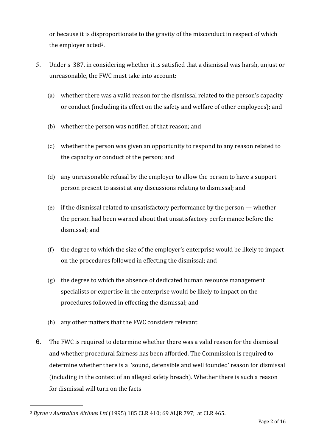or because it is disproportionate to the gravity of the misconduct in respect of which the employer acted<sup>2</sup>.

- 5. Under s 387, in considering whether it is satisfied that a dismissal was harsh, unjust or unreasonable, the FWC must take into account:
	- (a) whether there was a valid reason for the dismissal related to the person's capacity or conduct (including its effect on the safety and welfare of other employees); and
	- (b) whether the person was notified of that reason; and
	- (c) whether the person was given an opportunity to respond to any reason related to the capacity or conduct of the person; and
	- (d) any unreasonable refusal by the employer to allow the person to have a support person present to assist at any discussions relating to dismissal; and
	- (e) if the dismissal related to unsatisfactory performance by the person  $-$  whether the person had been warned about that unsatisfactory performance before the dismissal: and
	- $(f)$  the degree to which the size of the employer's enterprise would be likely to impact on the procedures followed in effecting the dismissal; and
	- $(g)$  the degree to which the absence of dedicated human resource management specialists or expertise in the enterprise would be likely to impact on the procedures followed in effecting the dismissal; and
	- (h) any other matters that the FWC considers relevant.
- 6. The FWC is required to determine whether there was a valid reason for the dismissal and whether procedural fairness has been afforded. The Commission is required to determine whether there is a 'sound, defensible and well founded' reason for dismissal (including in the context of an alleged safety breach). Whether there is such a reason for dismissal will turn on the facts

<sup>&</sup>lt;sup>2</sup> Byrne v Australian Airlines Ltd (1995) 185 CLR 410; 69 ALJR 797; at CLR 465.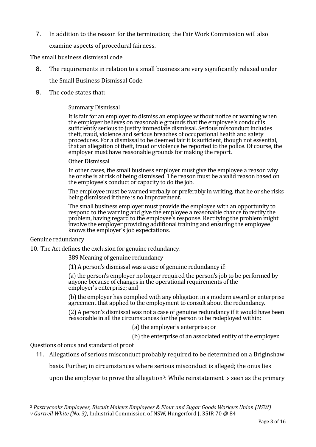7. In addition to the reason for the termination; the Fair Work Commission will also

examine aspects of procedural fairness.

### The small business dismissal code

- 8. The requirements in relation to a small business are very significantly relaxed under the Small Business Dismissal Code.
- 9. The code states that:

## Summary Dismissal

It is fair for an employer to dismiss an employee without notice or warning when the employer believes on reasonable grounds that the employee's conduct is sufficiently serious to justify immediate dismissal. Serious misconduct includes theft, fraud, violence and serious breaches of occupational health and safety procedures. For a dismissal to be deemed fair it is sufficient, though not essential, that an allegation of theft, fraud or violence be reported to the police. Of course, the employer must have reasonable grounds for making the report.

#### Other Dismissal

In other cases, the small business employer must give the employee a reason why he or she is at risk of being dismissed. The reason must be a valid reason based on the employee's conduct or capacity to do the job.

The employee must be warned verbally or preferably in writing, that he or she risks being dismissed if there is no improvement.

The small business employer must provide the employee with an opportunity to respond to the warning and give the employee a reasonable chance to rectify the problem, having regard to the employee's response. Rectifying the problem might involve the employer providing additional training and ensuring the employee knows the employer's job expectations.

### Genuine redundancy

10. The Act defines the exclusion for genuine redundancy.

389 Meaning of genuine redundancy

 $(1)$  A person's dismissal was a case of genuine redundancy if:

(a) the person's employer no longer required the person's job to be performed by anyone because of changes in the operational requirements of the employer's enterprise; and

(b) the employer has complied with any obligation in a modern award or enterprise agreement that applied to the employment to consult about the redundancy.

(2) A person's dismissal was not a case of genuine redundancy if it would have been reasonable in all the circumstances for the person to be redeployed within:

(a) the employer's enterprise; or

(b) the enterprise of an associated entity of the employer.

Questions of onus and standard of proof

11. Allegations of serious misconduct probably required to be determined on a Briginshaw

basis. Further, in circumstances where serious misconduct is alleged; the onus lies

upon the employer to prove the allegation<sup>3</sup>: While reinstatement is seen as the primary

<sup>&</sup>lt;sup>3</sup> Pastrycooks Employees, Biscuit Makers Employees & Flour and Sugar Goods Workers Union (NSW) *v* Gartrell White (No. 3), Industrial Commission of NSW, Hungerford J, 35IR 70 @ 84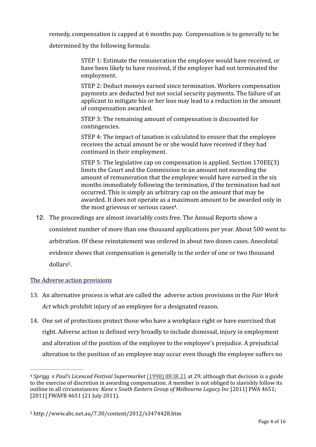remedy, compensation is capped at 6 months pay. Compensation is to generally to be

determined by the following formula:

STEP 1: Estimate the remuneration the employee would have received, or have been likely to have received, if the employer had not terminated the employment. 

STEP 2: Deduct moneys earned since termination. Workers compensation payments are deducted but not social security payments. The failure of an applicant to mitigate his or her loss may lead to a reduction in the amount of compensation awarded.

STEP 3: The remaining amount of compensation is discounted for contingencies. 

STEP 4: The impact of taxation is calculated to ensure that the employee receives the actual amount he or she would have received if they had continued in their employment.

STEP 5: The legislative cap on compensation is applied. Section  $170EE(3)$ limits the Court and the Commission to an amount not exceeding the amount of remuneration that the employee would have earned in the six months immediately following the termination, if the termination had not occurred. This is simply an arbitrary cap on the amount that may be awarded. It does not operate as a maximum amount to be awarded only in the most grievous or serious cases<sup>4</sup>.

12. The proceedings are almost invariably costs free. The Annual Reports show a

consistent number of more than one thousand applications per year. About 500 went to

arbitration. Of these reinstatement was ordered in about two dozen cases. Anecdotal

evidence shows that compensation is generally in the order of one or two thousand dollars<sup>5</sup>.

## The Adverse action provisions

- 13. An alternative process is what are called the adverse action provisions in the *Fair Work Act* which prohibit injury of an employee for a designated reason.
- 14. One set of protections protect those who have a workplace right or have exercised that right. Adverse action is defined very broadly to include dismissal, injury in employment and alteration of the position of the employee to the employee's prejudice. A prejudicial alteration to the position of an employee may occur even though the employee suffers no

<sup>&</sup>lt;sup>4</sup> Sprigg v Paul's Licenced Festival Supermarket (1998) 88 IR 21 at 29; although that decision is a guide to the exercise of discretion in awarding compensation. A member is not obliged to slavishly follow its outline in all circumstances: *Kane v South Eastern Group of Melbourne Legacy Inc* [2011] FWA 4651; [2011] FWAFB 4651 (21 July 2011).

<sup>5</sup> http://www.abc.net.au/7.30/content/2012/s3474428.htm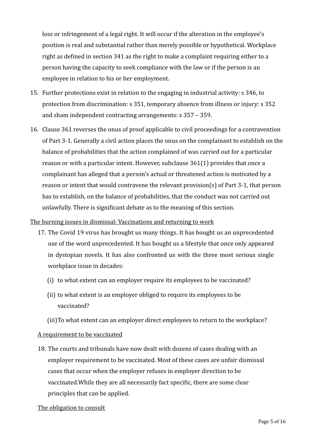loss or infringement of a legal right. It will occur if the alteration in the employee's position is real and substantial rather than merely possible or hypothetical. Workplace right as defined in section  $341$  as the right to make a complaint requiring either to a person having the capacity to seek compliance with the law or if the person is an employee in relation to his or her employment.

- 15. Further protections exist in relation to the engaging in industrial activity: s 346, to protection from discrimination: s 351, temporary absence from illness or injury: s 352 and sham independent contracting arrangements: s 357 – 359.
- 16. Clause 361 reverses the onus of proof applicable to civil proceedings for a contravention of Part 3-1. Generally a civil action places the onus on the complainant to establish on the balance of probabilities that the action complained of was carried out for a particular reason or with a particular intent. However, subclause  $361(1)$  provides that once a complainant has alleged that a person's actual or threatened action is motivated by a reason or intent that would contravene the relevant provision(s) of Part 3-1, that person has to establish, on the balance of probabilities, that the conduct was not carried out unlawfully. There is significant debate as to the meaning of this section.

## The burning issues in dismissal: Vaccinations and returning to work

- 17. The Covid 19 virus has brought us many things. It has bought us an unprecedented use of the word unprecedented. It has bought us a lifestyle that once only appeared in dystopian novels. It has also confronted us with the three most serious single workplace issue in decades:
	- (i) to what extent can an employer require its employees to be vaccinated?
	- (ii) to what extent is an employer obliged to require its employees to be vaccinated?
	- (iii) To what extent can an employer direct employees to return to the workplace?

### A requirement to be vaccinated

18. The courts and tribunals have now dealt with dozens of cases dealing with an employer requirement to be vaccinated. Most of these cases are unfair dismissal cases that occur when the employer refuses in employer direction to be vaccinated. While they are all necessarily fact specific, there are some clear principles that can be applied.

### The obligation to consult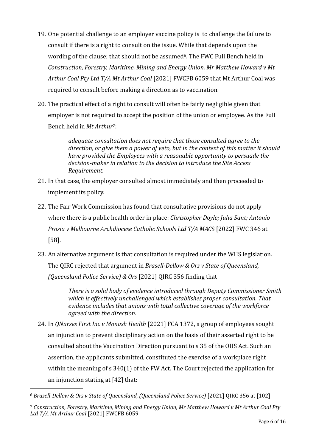- 19. One potential challenge to an employer vaccine policy is to challenge the failure to consult if there is a right to consult on the issue. While that depends upon the wording of the clause; that should not be assumed<sup>6</sup>. The FWC Full Bench held in *Construction, Forestry, Maritime, Mining and Energy Union, Mr Matthew Howard v Mt* Arthur Coal Pty Ltd T/A Mt Arthur Coal [2021] FWCFB 6059 that Mt Arthur Coal was required to consult before making a direction as to vaccination.
- 20. The practical effect of a right to consult will often be fairly negligible given that employer is not required to accept the position of the union or employee. As the Full Bench held in *Mt Arthur<sup>7</sup>*:

*adequate consultation does not require that those consulted agree to the direction, or give them a power of veto, but in the context of this matter it should have provided the Employees with a reasonable opportunity to persuade the* decision-maker in relation to the decision to introduce the Site Access *Requirement.*

- 21. In that case, the employer consulted almost immediately and then proceeded to implement its policy.
- 22. The Fair Work Commission has found that consultative provisions do not apply where there is a public health order in place: *Christopher Doyle; Julia Sant; Antonio Prosia* v Melbourne Archdiocese Catholic Schools Ltd T/A MACS [2022] FWC 346 at [58].
- 23. An alternative argument is that consultation is required under the WHS legislation. The OIRC rejected that argument in *Brasell-Dellow & Ors v State of Oueensland*, *(Oueensland Police Service) & Ors* [2021] OIRC 356 finding that

*There is a solid body of evidence introduced through Deputy Commissioner Smith* which is effectively unchallenged which establishes proper consultation. That *evidence includes that unions with total collective coverage of the workforce agreed with the direction.*

24. In *QNurses First Inc v Monash Health* [2021] FCA 1372, a group of employees sought an injunction to prevent disciplinary action on the basis of their asserted right to be consulted about the Vaccination Direction pursuant to s 35 of the OHS Act. Such an assertion, the applicants submitted, constituted the exercise of a workplace right within the meaning of  $s$  340(1) of the FW Act. The Court rejected the application for an injunction stating at  $[42]$  that:

<sup>&</sup>lt;sup>6</sup> Brasell-Dellow & Ors v State of Queensland, (Queensland Police Service) [2021] QIRC 356 at [102]

<sup>&</sup>lt;sup>7</sup> Construction, Forestry, Maritime, Mining and Energy Union, Mr Matthew Howard v Mt Arthur Coal Pty Ltd T/A Mt Arthur Coal [2021] FWCFB 6059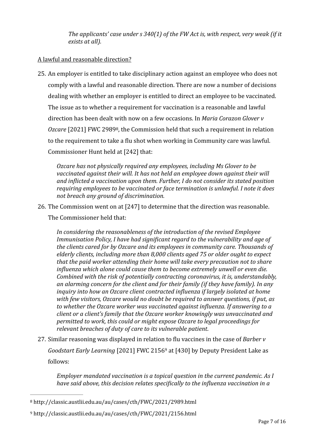The applicants' case under s 340(1) of the FW Act is, with respect, very weak (if it *exists at all*).

## A lawful and reasonable direction?

25. An employer is entitled to take disciplinary action against an employee who does not comply with a lawful and reasonable direction. There are now a number of decisions dealing with whether an employer is entitled to direct an employee to be vaccinated. The issue as to whether a requirement for vaccination is a reasonable and lawful direction has been dealt with now on a few occasions. In *Maria Corazon Glover v Ozcare* [2021] FWC 2989<sup>8</sup>, the Commission held that such a requirement in relation to the requirement to take a flu shot when working in Community care was lawful. Commissioner Hunt held at [242] that:

*Ozcare has not physically required any employees, including Ms Glover to be* vaccinated against their will. It has not held an employee down against their will and inflicted a vaccination upon them. Further, I do not consider its stated position requiring employees to be vaccinated or face termination is unlawful. I note it does *not breach any ground of discrimination.* 

26. The Commission went on at [247] to determine that the direction was reasonable.

The Commissioner held that:

In considering the reasonableness of the introduction of the revised Employee *Immunisation Policy, I have had significant regard to the vulnerability and age of* the clients cared for by Ozcare and its employees in community care. Thousands of elderly clients, including more than 8,000 clients aged 75 or older ought to expect *that the paid worker attending their home will take every precaution not to share influenza* which alone could cause them to become extremely unwell or even die. *Combined with the risk of potentially contracting coronavirus, it is, understandably,* an alarming concern for the client and for their family (if they have family). In any *inquiry into how an Ozcare client contracted influenza if largely isolated at home* with few visitors, Ozcare would no doubt be required to answer questions, if put, as to whether the Ozcare worker was vaccinated against influenza. If answering to a *client or a client's family that the Ozcare worker knowingly was unvaccinated and permitted to work, this could or might expose Ozcare to legal proceedings for relevant breaches of duty of care to its vulnerable patient.* 

27. Similar reasoning was displayed in relation to flu vaccines in the case of *Barber* v *Goodstart Early Learning* [2021] FWC 2156<sup>9</sup> at [430] by Deputy President Lake as follows:

*Employer mandated vaccination is a topical question in the current pandemic. As I* have said above, this decision relates specifically to the influenza vaccination in a

http://classic.austlii.edu.au/au/cases/cth/FWC/2021/2989.html <sup>8</sup>

http://classic.austlii.edu.au/au/cases/cth/FWC/2021/2156.html <sup>9</sup>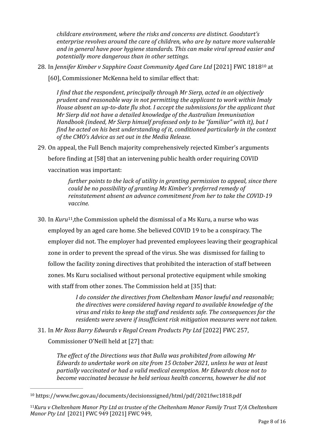*childcare environment, where the risks and concerns are distinct. Goodstart's* enterprise revolves around the care of children, who are by nature more vulnerable and in general have poor hygiene standards. This can make viral spread easier and *potentially more dangerous than in other settings.*

28. In *Jennifer Kimber v Sapphire Coast Community Aged Care Ltd* [2021] FWC 1818<sup>10</sup> at

[60], Commissioner McKenna held to similar effect that:

*I* find that the respondent, principally through Mr Sierp, acted in an objectively *prudent and reasonable way in not permitting the applicant to work within Imaly House absent an up-to-date flu shot. I accept the submissions for the applicant that Mr Sierp did not have a detailed knowledge of the Australian Immunisation Handbook (indeed, Mr Sierp himself professed only to be "familiar" with it), but I find he acted on his best understanding of it, conditioned particularly in the context* of the CMO's Advice as set out in the Media Release.

29. On appeal, the Full Bench majority comprehensively rejected Kimber's arguments

before finding at [58] that an intervening public health order requiring COVID

vaccination was important:

*further points to the lack of utility in granting permission to appeal, since there could be no possibility of granting Ms Kimber's preferred remedy of* reinstatement absent an advance commitment from her to take the COVID-19 *vaccine.*

30. In *Kuru*<sup>11</sup>, the Commission upheld the dismissal of a Ms Kuru, a nurse who was employed by an aged care home. She believed COVID 19 to be a conspiracy. The employer did not. The employer had prevented employees leaving their geographical zone in order to prevent the spread of the virus. She was dismissed for failing to follow the facility zoning directives that prohibited the interaction of staff between zones. Ms Kuru socialised without personal protective equipment while smoking with staff from other zones. The Commission held at [35] that:

> *I* do consider the directives from Cheltenham Manor lawful and reasonable; *the directives were considered having regard to available knowledge of the* virus and risks to keep the staff and residents safe. The consequences for the *residents* were severe if insufficient risk mitigation measures were not taken.

31. In *Mr Ross Barry Edwards v Regal Cream Products Pty Ltd* [2022] FWC 257,

Commissioner O'Neill held at [27] that:

The effect of the Directions was that Bulla was prohibited from allowing Mr *Edwards to undertake work on site from 15 October 2021, unless he was at least partially vaccinated or had a valid medical exemption. Mr Edwards chose not to become vaccinated because he held serious health concerns, however he did not* 

<sup>&</sup>lt;sup>10</sup> https://www.fwc.gov.au/documents/decisionssigned/html/pdf/2021fwc1818.pdf

<sup>&</sup>lt;sup>11</sup> Kuru v Cheltenham Manor Pty Ltd as trustee of the Cheltenham Manor Family Trust T/A Cheltenham *Manor Pty Ltd* [2021] FWC 949 [2021] FWC 949,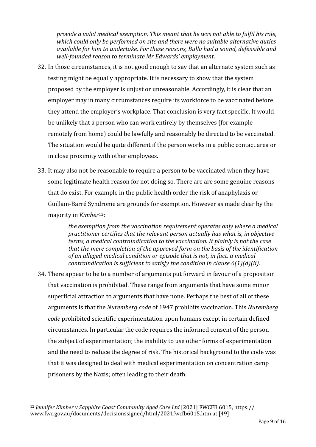*provide a valid medical exemption. This meant that he was not able to fulfil his role,* which could only be performed on site and there were no suitable alternative duties available for him to undertake. For these reasons, Bulla had a sound, defensible and *well-founded reason to terminate Mr Edwards' employment.*

- 32. In those circumstances, it is not good enough to say that an alternate system such as testing might be equally appropriate. It is necessary to show that the system proposed by the employer is unjust or unreasonable. Accordingly, it is clear that an employer may in many circumstances require its workforce to be vaccinated before they attend the employer's workplace. That conclusion is very fact specific. It would be unlikely that a person who can work entirely by themselves (for example remotely from home) could be lawfully and reasonably be directed to be vaccinated. The situation would be quite different if the person works in a public contact area or in close proximity with other employees.
- 33. It may also not be reasonable to require a person to be vaccinated when they have some legitimate health reason for not doing so. There are are some genuine reasons that do exist. For example in the public health order the risk of anaphylaxis or Guillain-Barré Syndrome are grounds for exemption. However as made clear by the majority in *Kimber*<sup>12</sup>:

*the exemption from the vaccination requirement operates only where a medical practitioner certifies that the relevant person actually has what is, in objective terms, a medical contraindication to the vaccination. It plainly is not the case* that the mere completion of the approved form on the basis of the identification of an alleged medical condition or episode that is not, in fact, a medical *contraindication is sufficient to satisfy the condition in clause 6(1)(d)(ii).* 

34. There appear to be to a number of arguments put forward in favour of a proposition that vaccination is prohibited. These range from arguments that have some minor superficial attraction to arguments that have none. Perhaps the best of all of these arguments is that the *Nuremberg code* of 1947 prohibits vaccination. This *Nuremberg code* prohibited scientific experimentation upon humans except in certain defined circumstances. In particular the code requires the informed consent of the person the subject of experimentation; the inability to use other forms of experimentation and the need to reduce the degree of risk. The historical background to the code was that it was designed to deal with medical experimentation on concentration camp prisoners by the Nazis; often leading to their death.

<sup>&</sup>lt;sup>12</sup> Jennifer Kimber v Sapphire Coast Community Aged Care Ltd [2021] FWCFB 6015, https:// www.fwc.gov.au/documents/decisionssigned/html/2021fwcfb6015.htm at [49]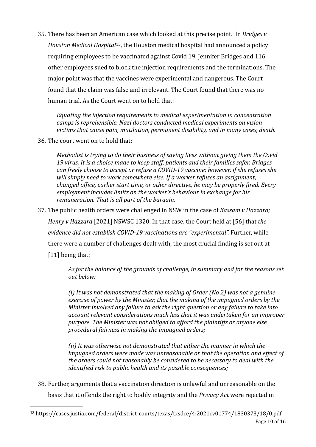35. There has been an American case which looked at this precise point. In *Bridges* v *Houston Medical Hospital*<sup>13</sup>, the Houston medical hospital had announced a policy requiring employees to be vaccinated against Covid 19. Jennifer Bridges and 116 other employees sued to block the injection requirements and the terminations. The major point was that the vaccines were experimental and dangerous. The Court found that the claim was false and irrelevant. The Court found that there was no human trial. As the Court went on to hold that:

Equating the injection requirements to medical experimentation in concentration *camps is reprehensible. Nazi doctors conducted medical experiments on vision* victims that cause pain, mutilation, permanent disability, and in many cases, death.

36. The court went on to hold that:

*Methodist is trying to do their business of saving lives without giving them the Covid* 19 virus. It is a choice made to keep staff, patients and their families safer. Bridges can freely choose to accept or refuse a COVID-19 vaccine; however, if she refuses she will simply need to work somewhere else. If a worker refuses an assignment, *changed office, earlier start time, or other directive, he may be properly fired. Every employment includes limits on the worker's behaviour in exchange for his remuneration.* That is all part of the bargain.

37. The public health orders were challenged in NSW in the case of *Kassam* v *Hazzard;* 

*Henry* v *Hazzard* [2021] NSWSC 1320. In that case, the Court held at [56] that *the evidence did not establish COVID-19 vaccinations are "experimental".* Further, while there were a number of challenges dealt with, the most crucial finding is set out at  $[11]$  being that:

As for the balance of the grounds of challenge, in summary and for the reasons set *out below:*

*(i)* It was not demonstrated that the making of Order (No 2) was not a genuine exercise of power by the Minister, that the making of the *impugned orders* by the *Minister involved any failure to ask the right question or any failure to take into* account relevant considerations much less that it was undertaken for an improper purpose. The Minister was not obliged to afford the plaintiffs or anyone else *procedural fairness in making the impugned orders;* 

*(ii)* It was otherwise not demonstrated that either the manner in which the *impugned orders* were made was unreasonable or that the operation and effect of *the* orders could not reasonably be considered to be necessary to deal with the *identified risk to public health and its possible consequences;* 

38. Further, arguments that a vaccination direction is unlawful and unreasonable on the basis that it offends the right to bodily integrity and the *Privacy Act* were rejected in

<sup>13</sup> https://cases.justia.com/federal/district-courts/texas/txsdce/4:2021cv01774/1830373/18/0.pdf Page 10 of 16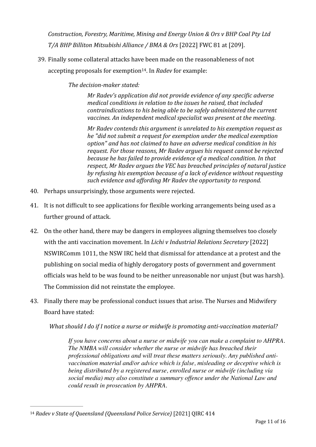*Construction, Forestry, Maritime, Mining and Energy Union & Ors v BHP Coal Pty Ltd T/A BHP Billiton Mitsubishi Alliance / BMA & Ors* [2022] FWC 81 at [209].

39. Finally some collateral attacks have been made on the reasonableness of not accepting proposals for exemption<sup>14</sup>. In *Radev* for example:

*The decision-maker stated:*

*Mr Radev's application did not provide evidence of any specific adverse medical conditions in relation to the issues he raised, that included contraindications to his being able to be safely administered the current* vaccines. An independent medical specialist was present at the meeting.

*Mr Radev contends this argument is unrelated to his exemption request as he* "did not submit a request for exemption under the medical exemption option" and has not claimed to have an adverse medical condition in his request. For those reasons, Mr Radev argues his request cannot be rejected *because he has failed to provide evidence of a medical condition. In that respect, Mr Radev argues the VEC has breached principles of natural justice* by refusing his exemption because of a lack of evidence without requesting such evidence and affording Mr Radev the opportunity to respond.

- 40. Perhaps unsurprisingly, those arguments were rejected.
- 41. It is not difficult to see applications for flexible working arrangements being used as a further ground of attack.
- 42. On the other hand, there may be dangers in employees aligning themselves too closely with the anti vaccination movement. In *Lichi v Industrial Relations Secretary* [2022] NSWIRComm 1011, the NSW IRC held that dismissal for attendance at a protest and the publishing on social media of highly derogatory posts of government and government officials was held to be was found to be neither unreasonable nor unjust (but was harsh). The Commission did not reinstate the employee.
- 43. Finally there may be professional conduct issues that arise. The Nurses and Midwifery Board have stated:

*What should I do if I notice a nurse or midwife is promoting anti-vaccination material?* 

*If you have concerns about a nurse or midwife you can make a complaint to AHPRA. The NMBA will consider whether the nurse or midwife has breached their professional obligations and will treat these matters seriously. Any published antivaccination material and/or advice which is false, misleading or deceptive which is being distributed by a registered nurse, enrolled nurse or midwife (including via social media) may also constitute a summary offence under the National Law and could result in prosecution by AHPRA.*

<sup>&</sup>lt;sup>14</sup> Radev v State of Queensland (Queensland Police Service) [2021] QIRC 414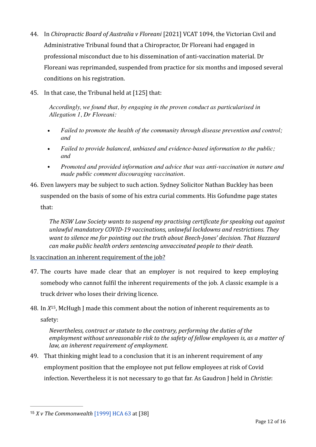- 44. In *Chiropractic Board of Australia v Floreani* [2021] VCAT 1094, the Victorian Civil and Administrative Tribunal found that a Chiropractor, Dr Floreani had engaged in professional misconduct due to his dissemination of anti-vaccination material. Dr Floreani was reprimanded, suspended from practice for six months and imposed several conditions on his registration.
- 45. In that case, the Tribunal held at [125] that:

*Accordingly, we found that, by engaging in the proven conduct as particularised in Allegation 1, Dr Floreani:*

- *Failed to promote the health of the community through disease prevention and control; and*
- *Failed to provide balanced, unbiased and evidence-based information to the public; and*
- *Promoted and provided information and advice that was anti-vaccination in nature and made public comment discouraging vaccination.*
- 46. Even lawyers may be subject to such action. Sydney Solicitor Nathan Buckley has been suspended on the basis of some of his extra curial comments. His Gofundme page states that:

The NSW Law Society wants to suspend my practising certificate for speaking out against unlawful mandatory COVID-19 vaccinations, unlawful lockdowns and restrictions. They want to silence me for pointing out the truth about Beech-Jones' decision. That Hazzard *can* make public health orders sentencing unvaccinated people to their death.

Is vaccination an inherent requirement of the job?

- 47. The courts have made clear that an employer is not required to keep employing somebody who cannot fulfil the inherent requirements of the job. A classic example is a truck driver who loses their driving licence.
- 48. In  $X^{15}$ , McHugh J made this comment about the notion of inherent requirements as to safety:

*Nevertheless, contract or statute to the contrary, performing the duties of the employment without unreasonable risk to the safety of fellow employees is, as a matter of law, an inherent requirement of employment.* 

49. That thinking might lead to a conclusion that it is an inherent requirement of any employment position that the employee not put fellow employees at risk of Covid infection. Nevertheless it is not necessary to go that far. As Gaudron I held in *Christie*:

<sup>&</sup>lt;sup>15</sup>  $X \vee$  *The Commonwealth* [1999] HCA 63 at [38]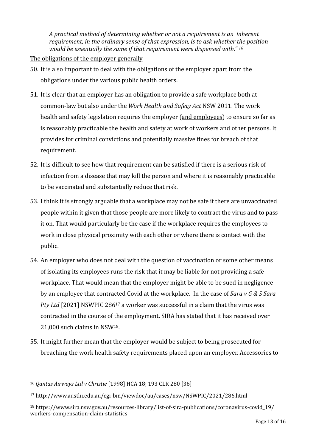*A* practical method of determining whether or not a requirement is an inherent *requirement, in the ordinary sense of that expression, is to ask whether the position would be essentially the same if that requirement were dispensed with."* <sup>16</sup>

## The obligations of the employer generally

- 50. It is also important to deal with the obligations of the employer apart from the obligations under the various public health orders.
- 51. It is clear that an employer has an obligation to provide a safe workplace both at common-law but also under the *Work Health and Safety Act NSW 2011*. The work health and safety legislation requires the employer (and employees) to ensure so far as is reasonably practicable the health and safety at work of workers and other persons. It provides for criminal convictions and potentially massive fines for breach of that requirement.
- 52. It is difficult to see how that requirement can be satisfied if there is a serious risk of infection from a disease that may kill the person and where it is reasonably practicable to be vaccinated and substantially reduce that risk.
- 53. I think it is strongly arguable that a workplace may not be safe if there are unvaccinated people within it given that those people are more likely to contract the virus and to pass it on. That would particularly be the case if the workplace requires the employees to work in close physical proximity with each other or where there is contact with the public.
- 54. An employer who does not deal with the question of vaccination or some other means of isolating its employees runs the risk that it may be liable for not providing a safe workplace. That would mean that the employer might be able to be sued in negligence by an employee that contracted Covid at the workplace. In the case of *Sara y G & S Sara Pty Ltd* [2021] NSWPIC 286<sup>17</sup> a worker was successful in a claim that the virus was contracted in the course of the employment. SIRA has stated that it has received over  $21,000$  such claims in NSW<sup>18</sup>.
- 55. It might further mean that the employer would be subject to being prosecuted for breaching the work health safety requirements placed upon an employer. Accessories to

<sup>&</sup>lt;sup>16</sup> Oantas Airways Ltd v Christie [1998] HCA 18; 193 CLR 280 [36]

http://www.austlii.edu.au/cgi-bin/viewdoc/au/cases/nsw/NSWPIC/2021/286.html <sup>17</sup>

<sup>18</sup> https://www.sira.nsw.gov.au/resources-library/list-of-sira-publications/coronavirus-covid\_19/ workers-compensation-claim-statistics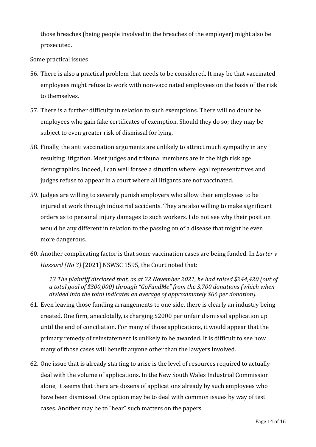those breaches (being people involved in the breaches of the employer) might also be prosecuted. 

## Some practical issues

- 56. There is also a practical problem that needs to be considered. It may be that vaccinated employees might refuse to work with non-vaccinated employees on the basis of the risk to themselves.
- 57. There is a further difficulty in relation to such exemptions. There will no doubt be employees who gain fake certificates of exemption. Should they do so; they may be subject to even greater risk of dismissal for lying.
- 58. Finally, the anti vaccination arguments are unlikely to attract much sympathy in any resulting litigation. Most judges and tribunal members are in the high risk age demographics. Indeed, I can well forsee a situation where legal representatives and judges refuse to appear in a court where all litigants are not vaccinated.
- 59. Judges are willing to severely punish employers who allow their employees to be injured at work through industrial accidents. They are also willing to make significant orders as to personal injury damages to such workers. I do not see why their position would be any different in relation to the passing on of a disease that might be even more dangerous.
- 60. Another complicating factor is that some vaccination cases are being funded. In *Larter v Hazzard* (No 3) [2021] NSWSC 1595, the Court noted that:

13 The plaintiff disclosed that, as at 22 November 2021, he had raised \$244,420 (out of a total goal of \$300,000) through "GoFundMe" from the 3,700 donations (which when divided into the total indicates an average of approximately \$66 per donation).

- 61. Even leaving those funding arrangements to one side, there is clearly an industry being created. One firm, anecdotally, is charging \$2000 per unfair dismissal application up until the end of conciliation. For many of those applications, it would appear that the primary remedy of reinstatement is unlikely to be awarded. It is difficult to see how many of those cases will benefit anyone other than the lawyers involved.
- 62. One issue that is already starting to arise is the level of resources required to actually deal with the volume of applications. In the New South Wales Industrial Commission alone, it seems that there are dozens of applications already by such employees who have been dismissed. One option may be to deal with common issues by way of test cases. Another may be to "hear" such matters on the papers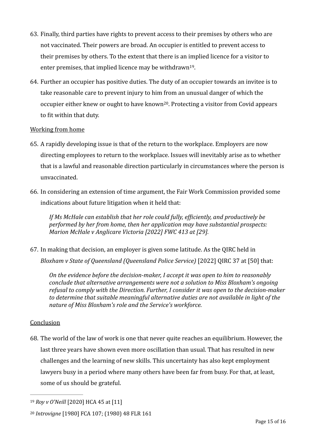- 63. Finally, third parties have rights to prevent access to their premises by others who are not vaccinated. Their powers are broad. An occupier is entitled to prevent access to their premises by others. To the extent that there is an implied licence for a visitor to enter premises, that implied licence may be withdrawn<sup>19</sup>.
- 64. Further an occupier has positive duties. The duty of an occupier towards an invitee is to take reasonable care to prevent injury to him from an unusual danger of which the occupier either knew or ought to have known<sup>20</sup>. Protecting a visitor from Covid appears to fit within that duty.

# Working from home

- 65. A rapidly developing issue is that of the return to the workplace. Employers are now directing employees to return to the workplace. Issues will inevitably arise as to whether that is a lawful and reasonable direction particularly in circumstances where the person is unvaccinated.
- 66. In considering an extension of time argument, the Fair Work Commission provided some indications about future litigation when it held that:

If Ms McHale can establish that her role could fully, efficiently, and productively be *performed by her from home, then her application may have substantial prospects: Marion McHale v Anglicare Victoria [2022] FWC 413 at [29].* 

67. In making that decision, an employer is given some latitude. As the QIRC held in *Bloxham* v State of Queensland (Queensland Police Service) [2022] QIRC 37 at [50] that:

*On* the evidence before the decision-maker, I accept it was open to him to reasonably *conclude that alternative arrangements were not a solution to Miss Bloxham's ongoing* refusal to comply with the Direction. Further, I consider it was open to the decision-maker to determine that suitable meaningful alternative duties are not available in light of the *nature of Miss Bloxham's role and the Service's workforce.* 

# Conclusion

68. The world of the law of work is one that never quite reaches an equilibrium. However, the last three years have shown even more oscillation than usual. That has resulted in new challenges and the learning of new skills. This uncertainty has also kept employment lawyers busy in a period where many others have been far from busy. For that, at least, some of us should be grateful.

<sup>&</sup>lt;sup>19</sup> Roy v O'Neill [2020] HCA 45 at [11]

<sup>&</sup>lt;sup>20</sup> Introvigne [1980] FCA 107; (1980) 48 FLR 161